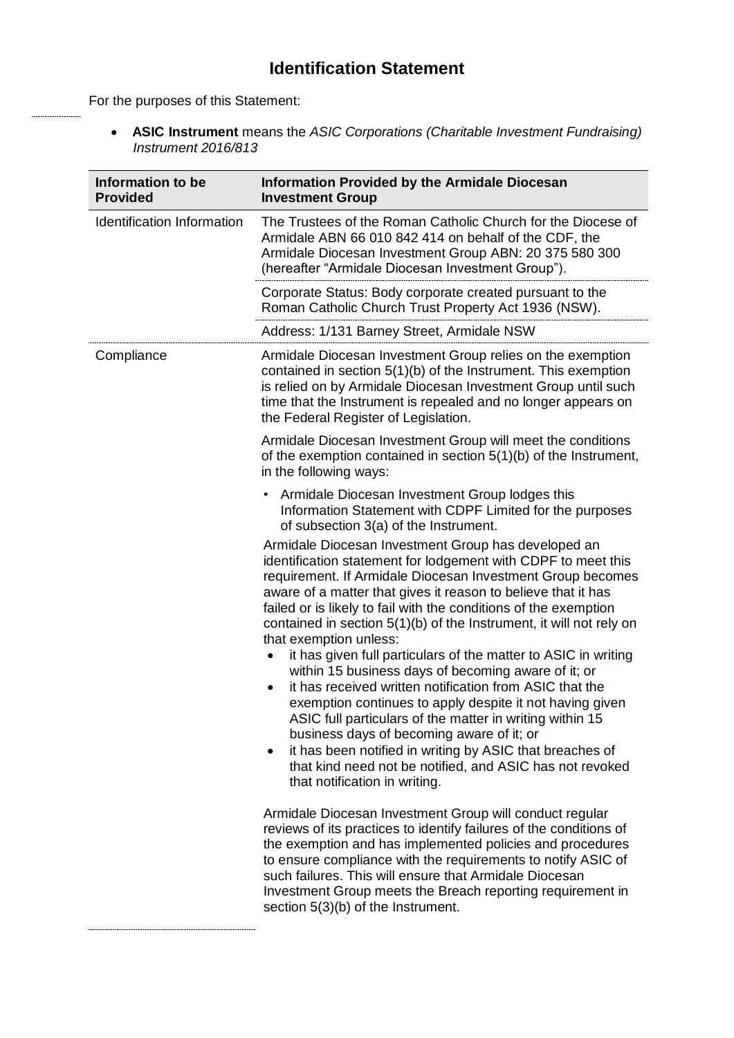## **Identification Statement**

For the purposes of this Statement:

 **ASIC Instrument** means the *ASIC Corporations (Charitable Investment Fundraising) Instrument 2016/813*

| Information to be<br><b>Provided</b> | <b>Information Provided by the Armidale Diocesan</b><br><b>Investment Group</b>                                                                                                                                                                                                                                                                                                                                                                                                                                                                                                                                                                                                                                                                                                                                                                                                                                                                                                     |
|--------------------------------------|-------------------------------------------------------------------------------------------------------------------------------------------------------------------------------------------------------------------------------------------------------------------------------------------------------------------------------------------------------------------------------------------------------------------------------------------------------------------------------------------------------------------------------------------------------------------------------------------------------------------------------------------------------------------------------------------------------------------------------------------------------------------------------------------------------------------------------------------------------------------------------------------------------------------------------------------------------------------------------------|
| Identification Information           | The Trustees of the Roman Catholic Church for the Diocese of<br>Armidale ABN 66 010 842 414 on behalf of the CDF, the<br>Armidale Diocesan Investment Group ABN: 20 375 580 300<br>(hereafter "Armidale Diocesan Investment Group").                                                                                                                                                                                                                                                                                                                                                                                                                                                                                                                                                                                                                                                                                                                                                |
|                                      | Corporate Status: Body corporate created pursuant to the<br>Roman Catholic Church Trust Property Act 1936 (NSW).                                                                                                                                                                                                                                                                                                                                                                                                                                                                                                                                                                                                                                                                                                                                                                                                                                                                    |
|                                      | Address: 1/131 Barney Street, Armidale NSW                                                                                                                                                                                                                                                                                                                                                                                                                                                                                                                                                                                                                                                                                                                                                                                                                                                                                                                                          |
| Compliance                           | Armidale Diocesan Investment Group relies on the exemption<br>contained in section 5(1)(b) of the Instrument. This exemption<br>is relied on by Armidale Diocesan Investment Group until such<br>time that the Instrument is repealed and no longer appears on<br>the Federal Register of Legislation.                                                                                                                                                                                                                                                                                                                                                                                                                                                                                                                                                                                                                                                                              |
|                                      | Armidale Diocesan Investment Group will meet the conditions<br>of the exemption contained in section 5(1)(b) of the Instrument,<br>in the following ways:                                                                                                                                                                                                                                                                                                                                                                                                                                                                                                                                                                                                                                                                                                                                                                                                                           |
|                                      | Armidale Diocesan Investment Group lodges this<br>$\bullet$<br>Information Statement with CDPF Limited for the purposes<br>of subsection 3(a) of the Instrument.                                                                                                                                                                                                                                                                                                                                                                                                                                                                                                                                                                                                                                                                                                                                                                                                                    |
|                                      | Armidale Diocesan Investment Group has developed an<br>identification statement for lodgement with CDPF to meet this<br>requirement. If Armidale Diocesan Investment Group becomes<br>aware of a matter that gives it reason to believe that it has<br>failed or is likely to fail with the conditions of the exemption<br>contained in section $5(1)(b)$ of the Instrument, it will not rely on<br>that exemption unless:<br>it has given full particulars of the matter to ASIC in writing<br>$\bullet$<br>within 15 business days of becoming aware of it; or<br>it has received written notification from ASIC that the<br>$\bullet$<br>exemption continues to apply despite it not having given<br>ASIC full particulars of the matter in writing within 15<br>business days of becoming aware of it; or<br>it has been notified in writing by ASIC that breaches of<br>$\bullet$<br>that kind need not be notified, and ASIC has not revoked<br>that notification in writing. |
|                                      | Armidale Diocesan Investment Group will conduct regular<br>reviews of its practices to identify failures of the conditions of<br>the exemption and has implemented policies and procedures<br>to ensure compliance with the requirements to notify ASIC of<br>such failures. This will ensure that Armidale Diocesan<br>Investment Group meets the Breach reporting requirement in<br>section 5(3)(b) of the Instrument.                                                                                                                                                                                                                                                                                                                                                                                                                                                                                                                                                            |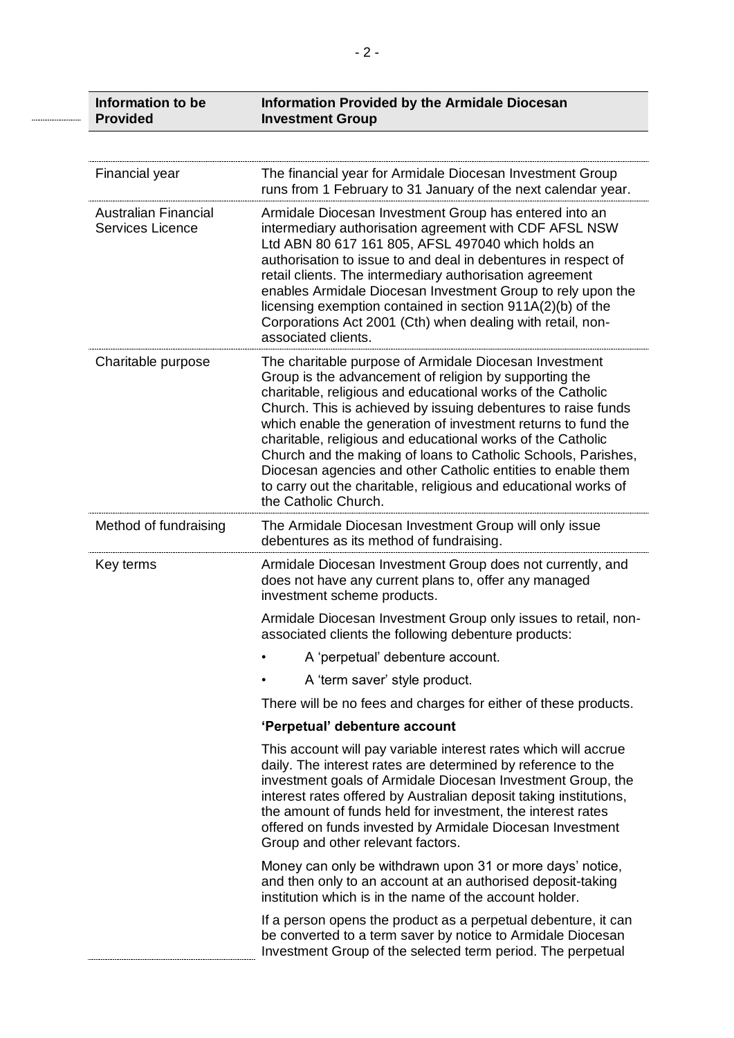|  | Information to be<br><b>Provided</b>                   | <b>Information Provided by the Armidale Diocesan</b><br><b>Investment Group</b>                                                                                                                                                                                                                                                                                                                                                                                                                                                                                                                              |
|--|--------------------------------------------------------|--------------------------------------------------------------------------------------------------------------------------------------------------------------------------------------------------------------------------------------------------------------------------------------------------------------------------------------------------------------------------------------------------------------------------------------------------------------------------------------------------------------------------------------------------------------------------------------------------------------|
|  |                                                        |                                                                                                                                                                                                                                                                                                                                                                                                                                                                                                                                                                                                              |
|  | <b>Financial year</b>                                  | The financial year for Armidale Diocesan Investment Group<br>runs from 1 February to 31 January of the next calendar year.                                                                                                                                                                                                                                                                                                                                                                                                                                                                                   |
|  | <b>Australian Financial</b><br><b>Services Licence</b> | Armidale Diocesan Investment Group has entered into an<br>intermediary authorisation agreement with CDF AFSL NSW<br>Ltd ABN 80 617 161 805, AFSL 497040 which holds an<br>authorisation to issue to and deal in debentures in respect of<br>retail clients. The intermediary authorisation agreement<br>enables Armidale Diocesan Investment Group to rely upon the<br>licensing exemption contained in section 911A(2)(b) of the<br>Corporations Act 2001 (Cth) when dealing with retail, non-<br>associated clients.                                                                                       |
|  | Charitable purpose                                     | The charitable purpose of Armidale Diocesan Investment<br>Group is the advancement of religion by supporting the<br>charitable, religious and educational works of the Catholic<br>Church. This is achieved by issuing debentures to raise funds<br>which enable the generation of investment returns to fund the<br>charitable, religious and educational works of the Catholic<br>Church and the making of loans to Catholic Schools, Parishes,<br>Diocesan agencies and other Catholic entities to enable them<br>to carry out the charitable, religious and educational works of<br>the Catholic Church. |
|  | Method of fundraising                                  | The Armidale Diocesan Investment Group will only issue<br>debentures as its method of fundraising.                                                                                                                                                                                                                                                                                                                                                                                                                                                                                                           |
|  | Key terms                                              | Armidale Diocesan Investment Group does not currently, and<br>does not have any current plans to, offer any managed<br>investment scheme products.                                                                                                                                                                                                                                                                                                                                                                                                                                                           |
|  |                                                        | Armidale Diocesan Investment Group only issues to retail, non-<br>associated clients the following debenture products:                                                                                                                                                                                                                                                                                                                                                                                                                                                                                       |
|  |                                                        | A 'perpetual' debenture account.                                                                                                                                                                                                                                                                                                                                                                                                                                                                                                                                                                             |
|  |                                                        | A 'term saver' style product.                                                                                                                                                                                                                                                                                                                                                                                                                                                                                                                                                                                |
|  |                                                        | There will be no fees and charges for either of these products.                                                                                                                                                                                                                                                                                                                                                                                                                                                                                                                                              |
|  |                                                        | 'Perpetual' debenture account                                                                                                                                                                                                                                                                                                                                                                                                                                                                                                                                                                                |
|  |                                                        | This account will pay variable interest rates which will accrue<br>daily. The interest rates are determined by reference to the<br>investment goals of Armidale Diocesan Investment Group, the<br>interest rates offered by Australian deposit taking institutions,<br>the amount of funds held for investment, the interest rates<br>offered on funds invested by Armidale Diocesan Investment<br>Group and other relevant factors.                                                                                                                                                                         |
|  |                                                        | Money can only be withdrawn upon 31 or more days' notice,<br>and then only to an account at an authorised deposit-taking<br>institution which is in the name of the account holder.                                                                                                                                                                                                                                                                                                                                                                                                                          |
|  |                                                        | If a person opens the product as a perpetual debenture, it can<br>be converted to a term saver by notice to Armidale Diocesan<br>Investment Group of the selected term period. The perpetual                                                                                                                                                                                                                                                                                                                                                                                                                 |

.........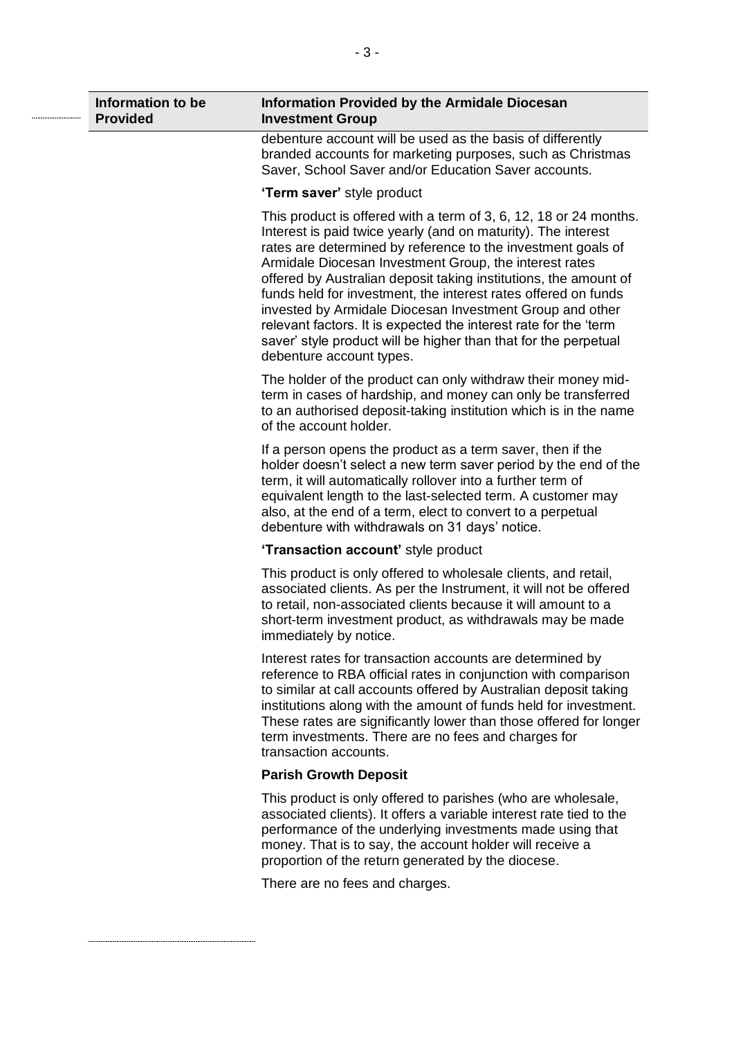| Information to be<br><b>Provided</b> | <b>Information Provided by the Armidale Diocesan</b><br><b>Investment Group</b>                                                                                                                                                                                                                                                                                                                                                                                                                                                                                                                                                   |
|--------------------------------------|-----------------------------------------------------------------------------------------------------------------------------------------------------------------------------------------------------------------------------------------------------------------------------------------------------------------------------------------------------------------------------------------------------------------------------------------------------------------------------------------------------------------------------------------------------------------------------------------------------------------------------------|
|                                      | debenture account will be used as the basis of differently<br>branded accounts for marketing purposes, such as Christmas<br>Saver, School Saver and/or Education Saver accounts.                                                                                                                                                                                                                                                                                                                                                                                                                                                  |
|                                      | 'Term saver' style product                                                                                                                                                                                                                                                                                                                                                                                                                                                                                                                                                                                                        |
|                                      | This product is offered with a term of 3, 6, 12, 18 or 24 months.<br>Interest is paid twice yearly (and on maturity). The interest<br>rates are determined by reference to the investment goals of<br>Armidale Diocesan Investment Group, the interest rates<br>offered by Australian deposit taking institutions, the amount of<br>funds held for investment, the interest rates offered on funds<br>invested by Armidale Diocesan Investment Group and other<br>relevant factors. It is expected the interest rate for the 'term<br>saver' style product will be higher than that for the perpetual<br>debenture account types. |
|                                      | The holder of the product can only withdraw their money mid-<br>term in cases of hardship, and money can only be transferred<br>to an authorised deposit-taking institution which is in the name<br>of the account holder.                                                                                                                                                                                                                                                                                                                                                                                                        |
|                                      | If a person opens the product as a term saver, then if the<br>holder doesn't select a new term saver period by the end of the<br>term, it will automatically rollover into a further term of<br>equivalent length to the last-selected term. A customer may<br>also, at the end of a term, elect to convert to a perpetual<br>debenture with withdrawals on 31 days' notice.                                                                                                                                                                                                                                                      |
|                                      | 'Transaction account' style product                                                                                                                                                                                                                                                                                                                                                                                                                                                                                                                                                                                               |
|                                      | This product is only offered to wholesale clients, and retail,<br>associated clients. As per the Instrument, it will not be offered<br>to retail, non-associated clients because it will amount to a<br>short-term investment product, as withdrawals may be made<br>immediately by notice.                                                                                                                                                                                                                                                                                                                                       |
|                                      | Interest rates for transaction accounts are determined by<br>reference to RBA official rates in conjunction with comparison<br>to similar at call accounts offered by Australian deposit taking<br>institutions along with the amount of funds held for investment.<br>These rates are significantly lower than those offered for longer<br>term investments. There are no fees and charges for<br>transaction accounts.                                                                                                                                                                                                          |
|                                      | <b>Parish Growth Deposit</b>                                                                                                                                                                                                                                                                                                                                                                                                                                                                                                                                                                                                      |
|                                      | This product is only offered to parishes (who are wholesale,<br>associated clients). It offers a variable interest rate tied to the<br>performance of the underlying investments made using that<br>money. That is to say, the account holder will receive a<br>proportion of the return generated by the diocese.                                                                                                                                                                                                                                                                                                                |
|                                      | There are no fees and charges.                                                                                                                                                                                                                                                                                                                                                                                                                                                                                                                                                                                                    |
|                                      |                                                                                                                                                                                                                                                                                                                                                                                                                                                                                                                                                                                                                                   |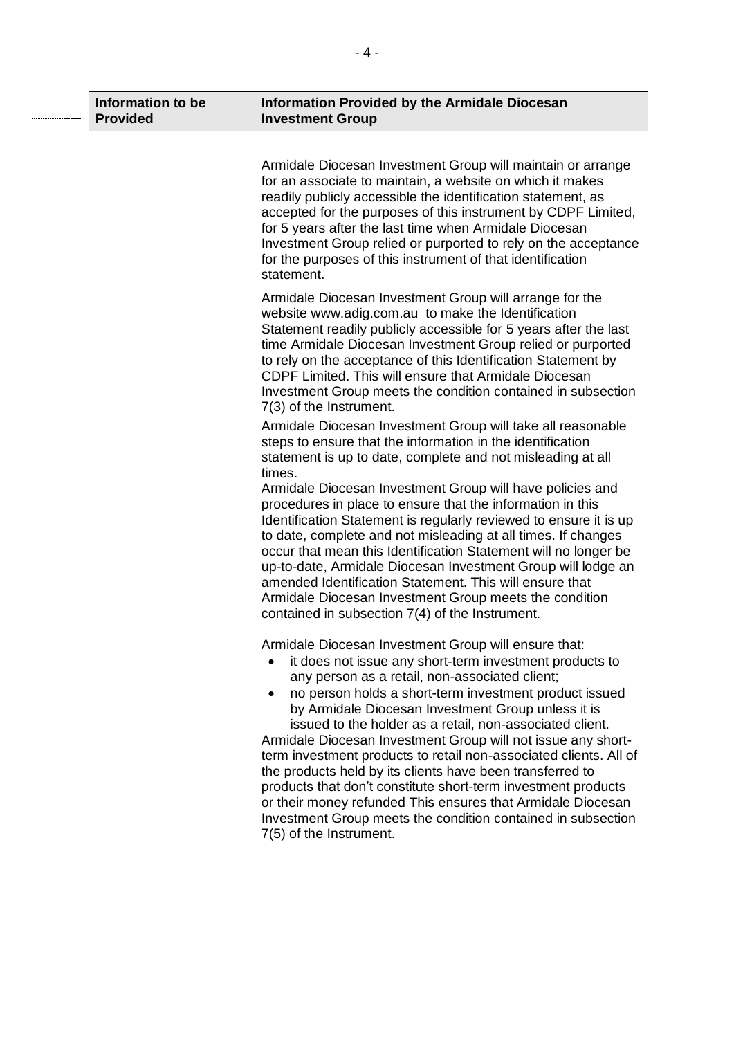| Information to be<br><b>Provided</b> | <b>Information Provided by the Armidale Diocesan</b><br><b>Investment Group</b>                                                                                                                                                                                                                                                                                                                                                                                                                                                                                                                                                                                                                                                                                                         |
|--------------------------------------|-----------------------------------------------------------------------------------------------------------------------------------------------------------------------------------------------------------------------------------------------------------------------------------------------------------------------------------------------------------------------------------------------------------------------------------------------------------------------------------------------------------------------------------------------------------------------------------------------------------------------------------------------------------------------------------------------------------------------------------------------------------------------------------------|
|                                      | Armidale Diocesan Investment Group will maintain or arrange<br>for an associate to maintain, a website on which it makes<br>readily publicly accessible the identification statement, as<br>accepted for the purposes of this instrument by CDPF Limited,<br>for 5 years after the last time when Armidale Diocesan<br>Investment Group relied or purported to rely on the acceptance<br>for the purposes of this instrument of that identification<br>statement.                                                                                                                                                                                                                                                                                                                       |
|                                      | Armidale Diocesan Investment Group will arrange for the<br>website www.adig.com.au to make the Identification<br>Statement readily publicly accessible for 5 years after the last<br>time Armidale Diocesan Investment Group relied or purported<br>to rely on the acceptance of this Identification Statement by<br>CDPF Limited. This will ensure that Armidale Diocesan<br>Investment Group meets the condition contained in subsection<br>7(3) of the Instrument.                                                                                                                                                                                                                                                                                                                   |
|                                      | Armidale Diocesan Investment Group will take all reasonable<br>steps to ensure that the information in the identification<br>statement is up to date, complete and not misleading at all<br>times.<br>Armidale Diocesan Investment Group will have policies and<br>procedures in place to ensure that the information in this<br>Identification Statement is regularly reviewed to ensure it is up<br>to date, complete and not misleading at all times. If changes<br>occur that mean this Identification Statement will no longer be<br>up-to-date, Armidale Diocesan Investment Group will lodge an<br>amended Identification Statement. This will ensure that<br>Armidale Diocesan Investment Group meets the condition<br>contained in subsection 7(4) of the Instrument.          |
|                                      | Armidale Diocesan Investment Group will ensure that:<br>it does not issue any short-term investment products to<br>any person as a retail, non-associated client;<br>no person holds a short-term investment product issued<br>$\bullet$<br>by Armidale Diocesan Investment Group unless it is<br>issued to the holder as a retail, non-associated client.<br>Armidale Diocesan Investment Group will not issue any short-<br>term investment products to retail non-associated clients. All of<br>the products held by its clients have been transferred to<br>products that don't constitute short-term investment products<br>or their money refunded This ensures that Armidale Diocesan<br>Investment Group meets the condition contained in subsection<br>7(5) of the Instrument. |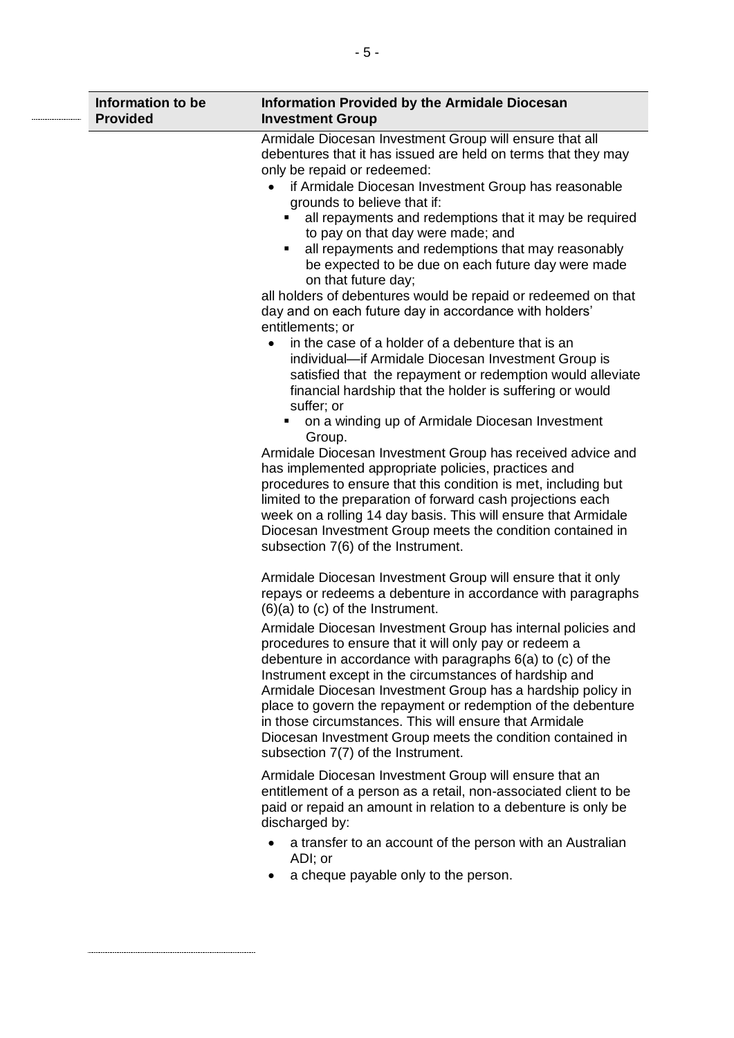| Information to be<br><b>Provided</b> | <b>Information Provided by the Armidale Diocesan</b><br><b>Investment Group</b>                                                                                                                                                                                                                                                                                                                                                                                                                                                                                                                                                                                                                                                                                                                                                                                                                                                                                                                                                                                                                                                                                                                                                                                                                                                             |
|--------------------------------------|---------------------------------------------------------------------------------------------------------------------------------------------------------------------------------------------------------------------------------------------------------------------------------------------------------------------------------------------------------------------------------------------------------------------------------------------------------------------------------------------------------------------------------------------------------------------------------------------------------------------------------------------------------------------------------------------------------------------------------------------------------------------------------------------------------------------------------------------------------------------------------------------------------------------------------------------------------------------------------------------------------------------------------------------------------------------------------------------------------------------------------------------------------------------------------------------------------------------------------------------------------------------------------------------------------------------------------------------|
|                                      | Armidale Diocesan Investment Group will ensure that all<br>debentures that it has issued are held on terms that they may<br>only be repaid or redeemed:<br>if Armidale Diocesan Investment Group has reasonable<br>grounds to believe that if:<br>all repayments and redemptions that it may be required<br>to pay on that day were made; and<br>all repayments and redemptions that may reasonably<br>п<br>be expected to be due on each future day were made<br>on that future day;<br>all holders of debentures would be repaid or redeemed on that<br>day and on each future day in accordance with holders'<br>entitlements; or<br>in the case of a holder of a debenture that is an<br>individual-if Armidale Diocesan Investment Group is<br>satisfied that the repayment or redemption would alleviate<br>financial hardship that the holder is suffering or would<br>suffer; or<br>on a winding up of Armidale Diocesan Investment<br>Group.<br>Armidale Diocesan Investment Group has received advice and<br>has implemented appropriate policies, practices and<br>procedures to ensure that this condition is met, including but<br>limited to the preparation of forward cash projections each<br>week on a rolling 14 day basis. This will ensure that Armidale<br>Diocesan Investment Group meets the condition contained in |
|                                      | subsection 7(6) of the Instrument.<br>Armidale Diocesan Investment Group will ensure that it only<br>repays or redeems a debenture in accordance with paragraphs<br>$(6)(a)$ to $(c)$ of the Instrument.<br>Armidale Diocesan Investment Group has internal policies and<br>procedures to ensure that it will only pay or redeem a<br>debenture in accordance with paragraphs $6(a)$ to $(c)$ of the<br>Instrument except in the circumstances of hardship and<br>Armidale Diocesan Investment Group has a hardship policy in<br>place to govern the repayment or redemption of the debenture<br>in those circumstances. This will ensure that Armidale<br>Diocesan Investment Group meets the condition contained in<br>subsection 7(7) of the Instrument.<br>Armidale Diocesan Investment Group will ensure that an<br>entitlement of a person as a retail, non-associated client to be<br>paid or repaid an amount in relation to a debenture is only be<br>discharged by:<br>a transfer to an account of the person with an Australian<br>ADI; or<br>a cheque payable only to the person.                                                                                                                                                                                                                                               |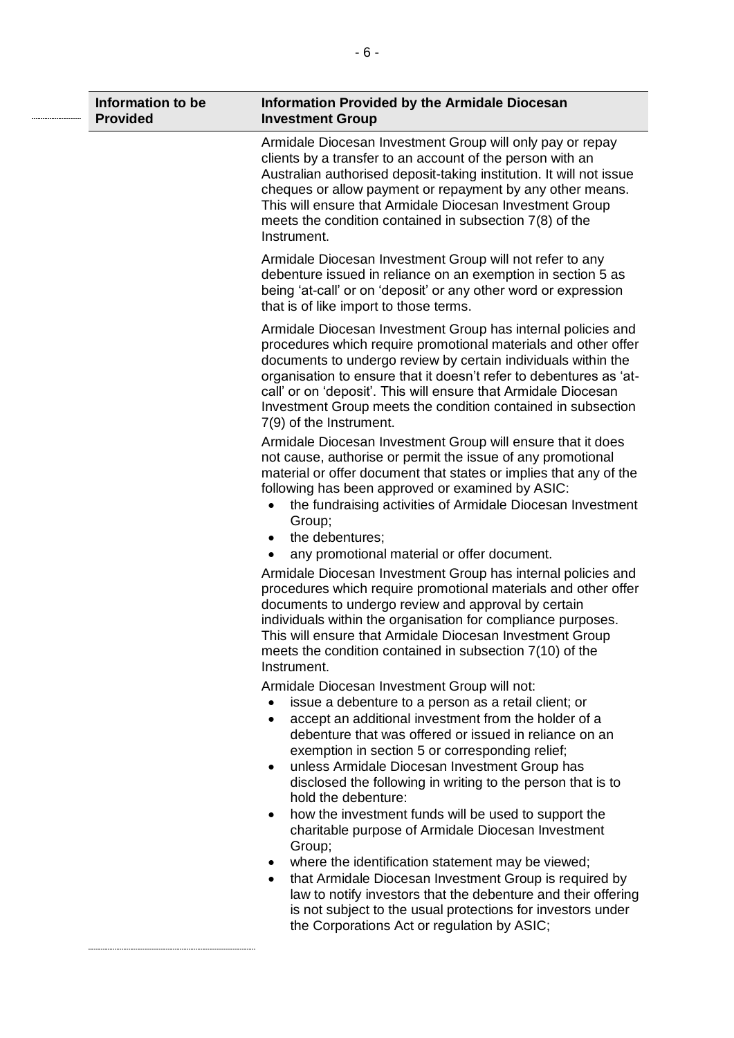| Information to be<br><b>Provided</b> | <b>Information Provided by the Armidale Diocesan</b><br><b>Investment Group</b>                                                                                                                                                                                                                                                                                                                                                    |
|--------------------------------------|------------------------------------------------------------------------------------------------------------------------------------------------------------------------------------------------------------------------------------------------------------------------------------------------------------------------------------------------------------------------------------------------------------------------------------|
|                                      | Armidale Diocesan Investment Group will only pay or repay<br>clients by a transfer to an account of the person with an<br>Australian authorised deposit-taking institution. It will not issue<br>cheques or allow payment or repayment by any other means.<br>This will ensure that Armidale Diocesan Investment Group<br>meets the condition contained in subsection 7(8) of the<br>Instrument.                                   |
|                                      | Armidale Diocesan Investment Group will not refer to any<br>debenture issued in reliance on an exemption in section 5 as<br>being 'at-call' or on 'deposit' or any other word or expression<br>that is of like import to those terms.                                                                                                                                                                                              |
|                                      | Armidale Diocesan Investment Group has internal policies and<br>procedures which require promotional materials and other offer<br>documents to undergo review by certain individuals within the<br>organisation to ensure that it doesn't refer to debentures as 'at-<br>call' or on 'deposit'. This will ensure that Armidale Diocesan<br>Investment Group meets the condition contained in subsection<br>7(9) of the Instrument. |
|                                      | Armidale Diocesan Investment Group will ensure that it does<br>not cause, authorise or permit the issue of any promotional<br>material or offer document that states or implies that any of the<br>following has been approved or examined by ASIC:<br>the fundraising activities of Armidale Diocesan Investment<br>$\bullet$<br>Group;                                                                                           |
|                                      | the debentures;<br>$\bullet$                                                                                                                                                                                                                                                                                                                                                                                                       |
|                                      | any promotional material or offer document.<br>$\bullet$                                                                                                                                                                                                                                                                                                                                                                           |
|                                      | Armidale Diocesan Investment Group has internal policies and<br>procedures which require promotional materials and other offer<br>documents to undergo review and approval by certain<br>individuals within the organisation for compliance purposes.<br>This will ensure that Armidale Diocesan Investment Group<br>meets the condition contained in subsection 7(10) of the<br>Instrument.                                       |
|                                      | Armidale Diocesan Investment Group will not:                                                                                                                                                                                                                                                                                                                                                                                       |
|                                      | issue a debenture to a person as a retail client; or<br>accept an additional investment from the holder of a<br>$\bullet$<br>debenture that was offered or issued in reliance on an<br>exemption in section 5 or corresponding relief;<br>unless Armidale Diocesan Investment Group has<br>$\bullet$                                                                                                                               |
|                                      | disclosed the following in writing to the person that is to<br>hold the debenture:                                                                                                                                                                                                                                                                                                                                                 |
|                                      | how the investment funds will be used to support the<br>٠<br>charitable purpose of Armidale Diocesan Investment<br>Group;                                                                                                                                                                                                                                                                                                          |
|                                      | where the identification statement may be viewed;<br>that Armidale Diocesan Investment Group is required by<br>law to notify investors that the debenture and their offering<br>is not subject to the usual protections for investors under                                                                                                                                                                                        |

the Corporations Act or regulation by ASIC;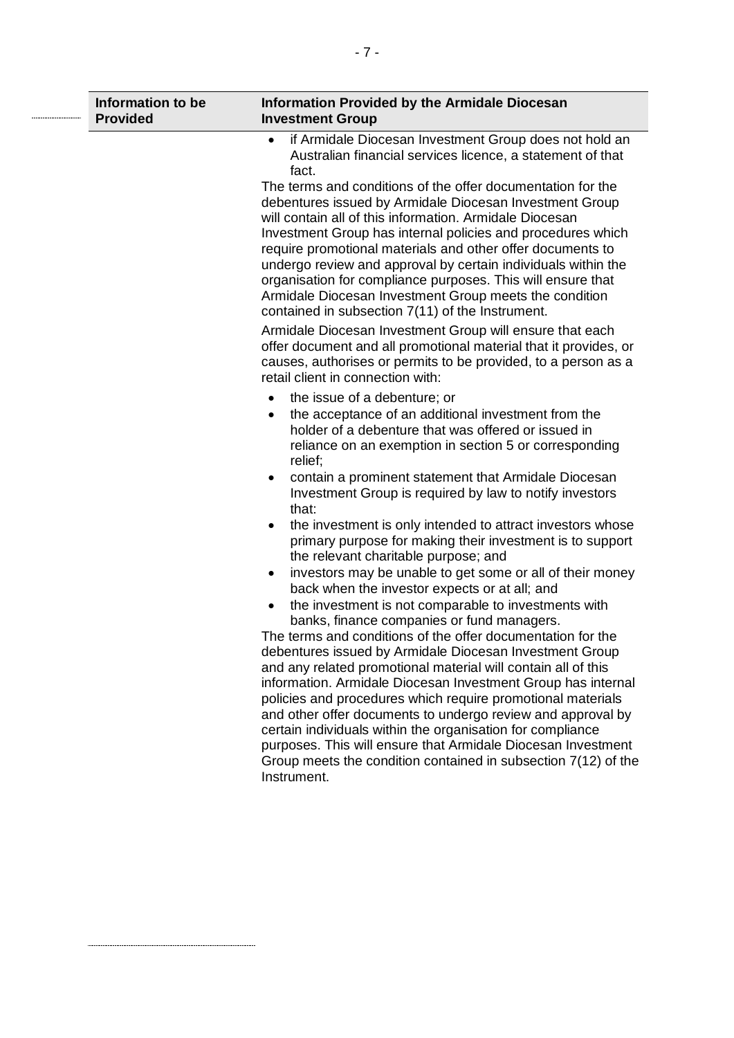| Information to be<br><b>Provided</b> | <b>Information Provided by the Armidale Diocesan</b><br><b>Investment Group</b>                                                                                                                                                                                                                                                                                                                                                                                                                                                                              |
|--------------------------------------|--------------------------------------------------------------------------------------------------------------------------------------------------------------------------------------------------------------------------------------------------------------------------------------------------------------------------------------------------------------------------------------------------------------------------------------------------------------------------------------------------------------------------------------------------------------|
|                                      | if Armidale Diocesan Investment Group does not hold an<br>$\bullet$<br>Australian financial services licence, a statement of that<br>fact.                                                                                                                                                                                                                                                                                                                                                                                                                   |
|                                      | The terms and conditions of the offer documentation for the<br>debentures issued by Armidale Diocesan Investment Group<br>will contain all of this information. Armidale Diocesan<br>Investment Group has internal policies and procedures which<br>require promotional materials and other offer documents to<br>undergo review and approval by certain individuals within the<br>organisation for compliance purposes. This will ensure that<br>Armidale Diocesan Investment Group meets the condition<br>contained in subsection 7(11) of the Instrument. |
|                                      | Armidale Diocesan Investment Group will ensure that each<br>offer document and all promotional material that it provides, or<br>causes, authorises or permits to be provided, to a person as a<br>retail client in connection with:                                                                                                                                                                                                                                                                                                                          |
|                                      | the issue of a debenture; or<br>the acceptance of an additional investment from the<br>$\bullet$<br>holder of a debenture that was offered or issued in<br>reliance on an exemption in section 5 or corresponding<br>relief;                                                                                                                                                                                                                                                                                                                                 |
|                                      | contain a prominent statement that Armidale Diocesan<br>٠<br>Investment Group is required by law to notify investors<br>that:                                                                                                                                                                                                                                                                                                                                                                                                                                |
|                                      | the investment is only intended to attract investors whose<br>$\bullet$<br>primary purpose for making their investment is to support<br>the relevant charitable purpose; and                                                                                                                                                                                                                                                                                                                                                                                 |
|                                      | investors may be unable to get some or all of their money<br>٠<br>back when the investor expects or at all; and<br>the investment is not comparable to investments with                                                                                                                                                                                                                                                                                                                                                                                      |
|                                      | banks, finance companies or fund managers.<br>The terms and conditions of the offer documentation for the<br>debentures issued by Armidale Diocesan Investment Group<br>and any related promotional material will contain all of this<br>information. Armidale Diocesan Investment Group has internal                                                                                                                                                                                                                                                        |
|                                      | policies and procedures which require promotional materials<br>and other offer documents to undergo review and approval by<br>certain individuals within the organisation for compliance<br>purposes. This will ensure that Armidale Diocesan Investment<br>Group meets the condition contained in subsection 7(12) of the<br>Instrument.                                                                                                                                                                                                                    |
|                                      |                                                                                                                                                                                                                                                                                                                                                                                                                                                                                                                                                              |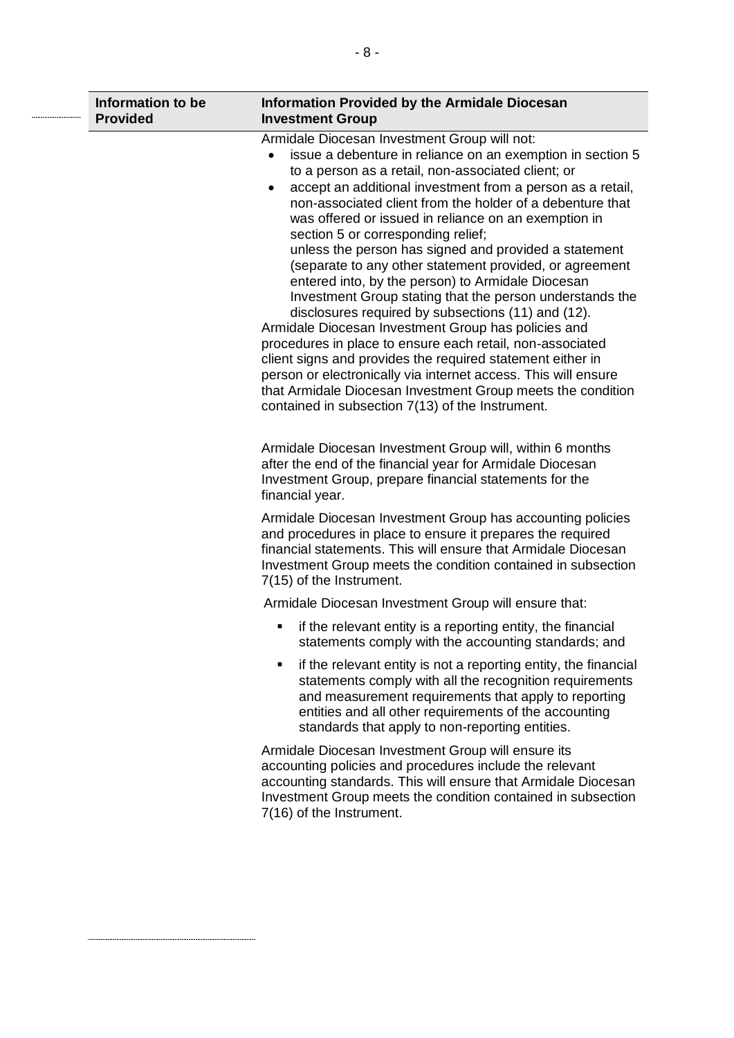| Information to be<br><b>Provided</b> | <b>Information Provided by the Armidale Diocesan</b><br><b>Investment Group</b>                                                                                                                                                                                                                                                                                                                                                                                                                                                                                                                                                                                                                                                                                                                                                                                                                                                                                                                                                                                                       |
|--------------------------------------|---------------------------------------------------------------------------------------------------------------------------------------------------------------------------------------------------------------------------------------------------------------------------------------------------------------------------------------------------------------------------------------------------------------------------------------------------------------------------------------------------------------------------------------------------------------------------------------------------------------------------------------------------------------------------------------------------------------------------------------------------------------------------------------------------------------------------------------------------------------------------------------------------------------------------------------------------------------------------------------------------------------------------------------------------------------------------------------|
|                                      | Armidale Diocesan Investment Group will not:<br>issue a debenture in reliance on an exemption in section 5<br>$\bullet$<br>to a person as a retail, non-associated client; or<br>accept an additional investment from a person as a retail,<br>$\bullet$<br>non-associated client from the holder of a debenture that<br>was offered or issued in reliance on an exemption in<br>section 5 or corresponding relief;<br>unless the person has signed and provided a statement<br>(separate to any other statement provided, or agreement<br>entered into, by the person) to Armidale Diocesan<br>Investment Group stating that the person understands the<br>disclosures required by subsections (11) and (12).<br>Armidale Diocesan Investment Group has policies and<br>procedures in place to ensure each retail, non-associated<br>client signs and provides the required statement either in<br>person or electronically via internet access. This will ensure<br>that Armidale Diocesan Investment Group meets the condition<br>contained in subsection 7(13) of the Instrument. |
|                                      | Armidale Diocesan Investment Group will, within 6 months<br>after the end of the financial year for Armidale Diocesan<br>Investment Group, prepare financial statements for the<br>financial year.                                                                                                                                                                                                                                                                                                                                                                                                                                                                                                                                                                                                                                                                                                                                                                                                                                                                                    |
|                                      | Armidale Diocesan Investment Group has accounting policies<br>and procedures in place to ensure it prepares the required<br>financial statements. This will ensure that Armidale Diocesan<br>Investment Group meets the condition contained in subsection<br>7(15) of the Instrument.                                                                                                                                                                                                                                                                                                                                                                                                                                                                                                                                                                                                                                                                                                                                                                                                 |
|                                      | Armidale Diocesan Investment Group will ensure that:                                                                                                                                                                                                                                                                                                                                                                                                                                                                                                                                                                                                                                                                                                                                                                                                                                                                                                                                                                                                                                  |
|                                      | if the relevant entity is a reporting entity, the financial<br>٠<br>statements comply with the accounting standards; and                                                                                                                                                                                                                                                                                                                                                                                                                                                                                                                                                                                                                                                                                                                                                                                                                                                                                                                                                              |
|                                      | if the relevant entity is not a reporting entity, the financial<br>٠<br>statements comply with all the recognition requirements<br>and measurement requirements that apply to reporting<br>entities and all other requirements of the accounting<br>standards that apply to non-reporting entities.                                                                                                                                                                                                                                                                                                                                                                                                                                                                                                                                                                                                                                                                                                                                                                                   |
|                                      | Armidale Diocesan Investment Group will ensure its<br>accounting policies and procedures include the relevant<br>accounting standards. This will ensure that Armidale Diocesan<br>Investment Group meets the condition contained in subsection<br>7(16) of the Instrument.                                                                                                                                                                                                                                                                                                                                                                                                                                                                                                                                                                                                                                                                                                                                                                                                            |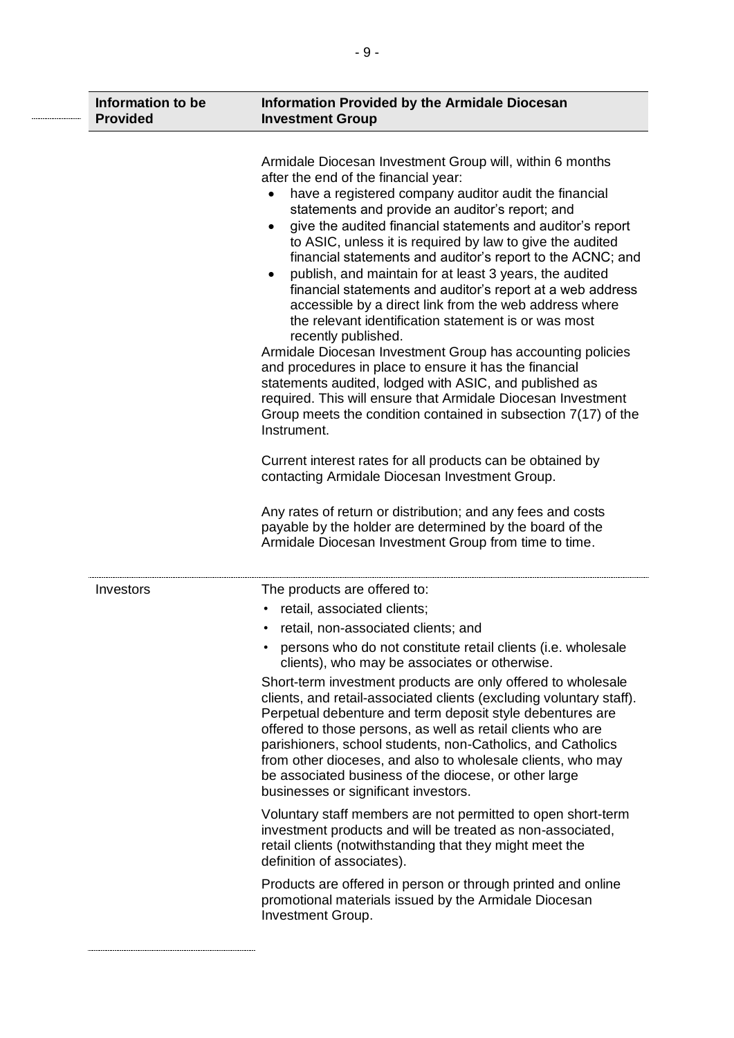| Information to be<br><b>Provided</b> | <b>Information Provided by the Armidale Diocesan</b><br><b>Investment Group</b>                                                                                                                                                                                                                                                                                                                                                                                                                                                                                                                                                                                                                                                                                                                                                                                                                                                                                                                                                                                                                                                                                                                                                                                                                                             |
|--------------------------------------|-----------------------------------------------------------------------------------------------------------------------------------------------------------------------------------------------------------------------------------------------------------------------------------------------------------------------------------------------------------------------------------------------------------------------------------------------------------------------------------------------------------------------------------------------------------------------------------------------------------------------------------------------------------------------------------------------------------------------------------------------------------------------------------------------------------------------------------------------------------------------------------------------------------------------------------------------------------------------------------------------------------------------------------------------------------------------------------------------------------------------------------------------------------------------------------------------------------------------------------------------------------------------------------------------------------------------------|
|                                      | Armidale Diocesan Investment Group will, within 6 months<br>after the end of the financial year:<br>have a registered company auditor audit the financial<br>statements and provide an auditor's report; and<br>give the audited financial statements and auditor's report<br>$\bullet$<br>to ASIC, unless it is required by law to give the audited<br>financial statements and auditor's report to the ACNC; and<br>publish, and maintain for at least 3 years, the audited<br>financial statements and auditor's report at a web address<br>accessible by a direct link from the web address where<br>the relevant identification statement is or was most<br>recently published.<br>Armidale Diocesan Investment Group has accounting policies<br>and procedures in place to ensure it has the financial<br>statements audited, lodged with ASIC, and published as<br>required. This will ensure that Armidale Diocesan Investment<br>Group meets the condition contained in subsection 7(17) of the<br>Instrument.<br>Current interest rates for all products can be obtained by<br>contacting Armidale Diocesan Investment Group.<br>Any rates of return or distribution; and any fees and costs<br>payable by the holder are determined by the board of the<br>Armidale Diocesan Investment Group from time to time. |
| Investors                            | The products are offered to:<br>retail, associated clients;<br>٠<br>• retail, non-associated clients; and<br>persons who do not constitute retail clients (i.e. wholesale<br>clients), who may be associates or otherwise.<br>Short-term investment products are only offered to wholesale<br>clients, and retail-associated clients (excluding voluntary staff).<br>Perpetual debenture and term deposit style debentures are<br>offered to those persons, as well as retail clients who are<br>parishioners, school students, non-Catholics, and Catholics<br>from other dioceses, and also to wholesale clients, who may<br>be associated business of the diocese, or other large<br>businesses or significant investors.<br>Voluntary staff members are not permitted to open short-term<br>investment products and will be treated as non-associated,<br>retail clients (notwithstanding that they might meet the<br>definition of associates).<br>Products are offered in person or through printed and online<br>promotional materials issued by the Armidale Diocesan<br>Investment Group.                                                                                                                                                                                                                          |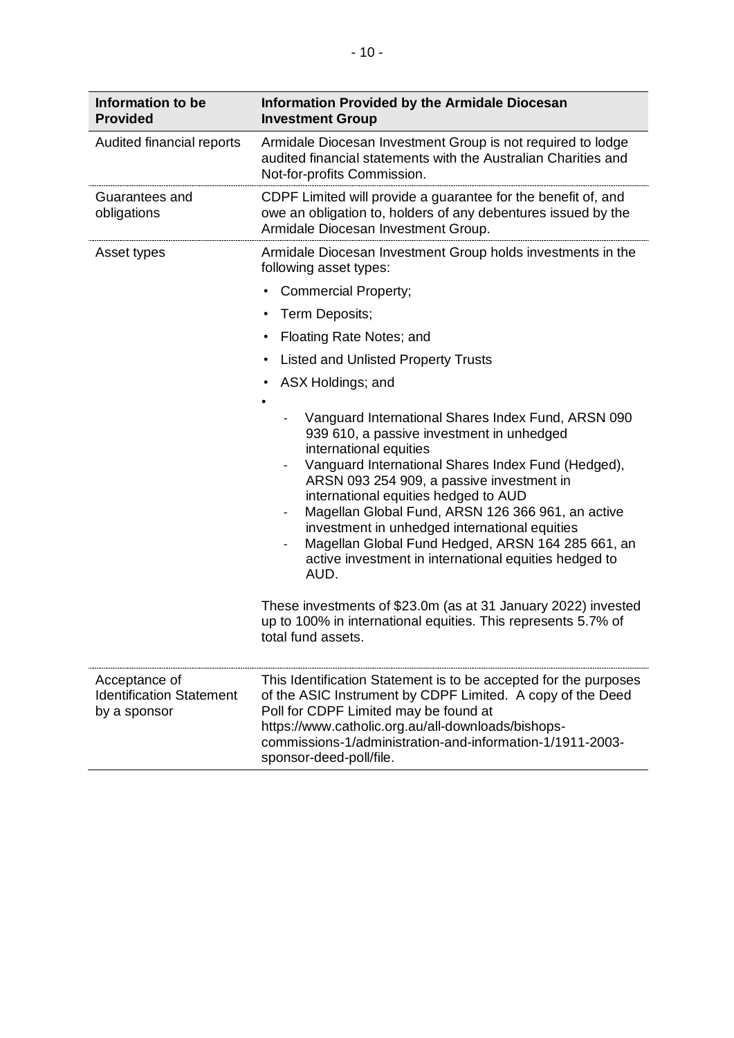| Information to be<br><b>Provided</b>                             | <b>Information Provided by the Armidale Diocesan</b><br><b>Investment Group</b>                                                                                                                                                                                                                                                                                                                                                                                                                                                                                                                                                                                               |
|------------------------------------------------------------------|-------------------------------------------------------------------------------------------------------------------------------------------------------------------------------------------------------------------------------------------------------------------------------------------------------------------------------------------------------------------------------------------------------------------------------------------------------------------------------------------------------------------------------------------------------------------------------------------------------------------------------------------------------------------------------|
| Audited financial reports                                        | Armidale Diocesan Investment Group is not required to lodge<br>audited financial statements with the Australian Charities and<br>Not-for-profits Commission.                                                                                                                                                                                                                                                                                                                                                                                                                                                                                                                  |
| Guarantees and<br>obligations                                    | CDPF Limited will provide a guarantee for the benefit of, and<br>owe an obligation to, holders of any debentures issued by the<br>Armidale Diocesan Investment Group.                                                                                                                                                                                                                                                                                                                                                                                                                                                                                                         |
| Asset types                                                      | Armidale Diocesan Investment Group holds investments in the<br>following asset types:                                                                                                                                                                                                                                                                                                                                                                                                                                                                                                                                                                                         |
|                                                                  | <b>Commercial Property;</b><br>$\bullet$                                                                                                                                                                                                                                                                                                                                                                                                                                                                                                                                                                                                                                      |
|                                                                  | Term Deposits;<br>$\bullet$                                                                                                                                                                                                                                                                                                                                                                                                                                                                                                                                                                                                                                                   |
|                                                                  | Floating Rate Notes; and<br>$\bullet$                                                                                                                                                                                                                                                                                                                                                                                                                                                                                                                                                                                                                                         |
|                                                                  | <b>Listed and Unlisted Property Trusts</b><br>$\bullet$                                                                                                                                                                                                                                                                                                                                                                                                                                                                                                                                                                                                                       |
|                                                                  | ASX Holdings; and                                                                                                                                                                                                                                                                                                                                                                                                                                                                                                                                                                                                                                                             |
|                                                                  | Vanguard International Shares Index Fund, ARSN 090<br>939 610, a passive investment in unhedged<br>international equities<br>Vanguard International Shares Index Fund (Hedged),<br>$\qquad \qquad -$<br>ARSN 093 254 909, a passive investment in<br>international equities hedged to AUD<br>Magellan Global Fund, ARSN 126 366 961, an active<br>investment in unhedged international equities<br>Magellan Global Fund Hedged, ARSN 164 285 661, an<br>active investment in international equities hedged to<br>AUD.<br>These investments of \$23.0m (as at 31 January 2022) invested<br>up to 100% in international equities. This represents 5.7% of<br>total fund assets. |
| Acceptance of<br><b>Identification Statement</b><br>by a sponsor | This Identification Statement is to be accepted for the purposes<br>of the ASIC Instrument by CDPF Limited. A copy of the Deed<br>Poll for CDPF Limited may be found at<br>https://www.catholic.org.au/all-downloads/bishops-<br>commissions-1/administration-and-information-1/1911-2003-<br>sponsor-deed-poll/file.                                                                                                                                                                                                                                                                                                                                                         |